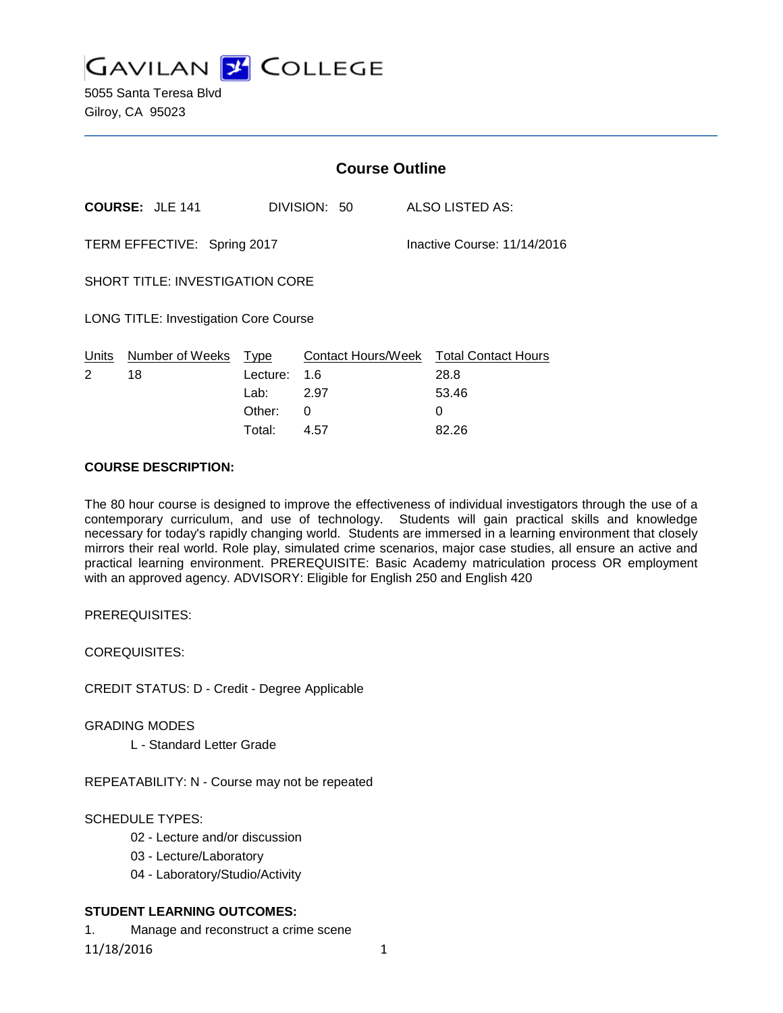

5055 Santa Teresa Blvd Gilroy, CA 95023

|                                                            |                                  |                                     |              | <b>Course Outline</b>                                        |  |
|------------------------------------------------------------|----------------------------------|-------------------------------------|--------------|--------------------------------------------------------------|--|
|                                                            | <b>COURSE: JLE 141</b>           |                                     | DIVISION: 50 | ALSO LISTED AS:                                              |  |
| TERM EFFECTIVE: Spring 2017<br>Inactive Course: 11/14/2016 |                                  |                                     |              |                                                              |  |
| <b>SHORT TITLE: INVESTIGATION CORE</b>                     |                                  |                                     |              |                                                              |  |
| <b>LONG TITLE: Investigation Core Course</b>               |                                  |                                     |              |                                                              |  |
| 2                                                          | Units Number of Weeks Type<br>18 | Lecture: 1.6<br>Lab: 2.97<br>Other: | 0            | Contact Hours/Week Total Contact Hours<br>28.8<br>53.46<br>0 |  |
|                                                            |                                  | Total:                              | 4.57         | 82.26                                                        |  |

#### **COURSE DESCRIPTION:**

The 80 hour course is designed to improve the effectiveness of individual investigators through the use of a contemporary curriculum, and use of technology. Students will gain practical skills and knowledge necessary for today's rapidly changing world. Students are immersed in a learning environment that closely mirrors their real world. Role play, simulated crime scenarios, major case studies, all ensure an active and practical learning environment. PREREQUISITE: Basic Academy matriculation process OR employment with an approved agency. ADVISORY: Eligible for English 250 and English 420

PREREQUISITES:

COREQUISITES:

CREDIT STATUS: D - Credit - Degree Applicable

GRADING MODES

L - Standard Letter Grade

REPEATABILITY: N - Course may not be repeated

#### SCHEDULE TYPES:

- 02 Lecture and/or discussion
- 03 Lecture/Laboratory
- 04 Laboratory/Studio/Activity

#### **STUDENT LEARNING OUTCOMES:**

1. Manage and reconstruct a crime scene

11/18/2016 1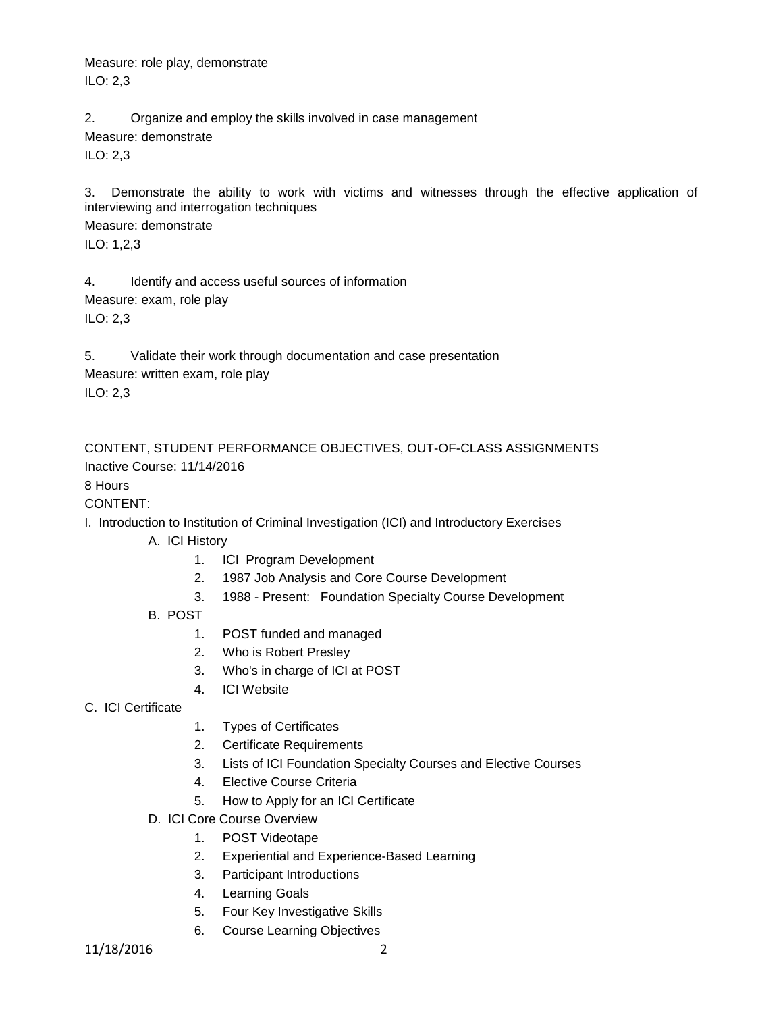Measure: role play, demonstrate ILO: 2,3

2. Organize and employ the skills involved in case management

Measure: demonstrate

ILO: 2,3

3. Demonstrate the ability to work with victims and witnesses through the effective application of interviewing and interrogation techniques

Measure: demonstrate

ILO: 1,2,3

4. Identify and access useful sources of information Measure: exam, role play ILO: 2,3

5. Validate their work through documentation and case presentation Measure: written exam, role play ILO: 2,3

CONTENT, STUDENT PERFORMANCE OBJECTIVES, OUT-OF-CLASS ASSIGNMENTS Inactive Course: 11/14/2016

# 8 Hours

### CONTENT:

I. Introduction to Institution of Criminal Investigation (ICI) and Introductory Exercises

- A. ICI History
	- 1. ICI Program Development
	- 2. 1987 Job Analysis and Core Course Development
	- 3. 1988 Present: Foundation Specialty Course Development
- B. POST
	- 1. POST funded and managed
	- 2. Who is Robert Presley
	- 3. Who's in charge of ICI at POST
	- 4. ICI Website
- C. ICI Certificate
- 1. Types of Certificates
- 2. Certificate Requirements
- 3. Lists of ICI Foundation Specialty Courses and Elective Courses
- 4. Elective Course Criteria
- 5. How to Apply for an ICI Certificate
- D. ICI Core Course Overview
	- 1. POST Videotape
	- 2. Experiential and Experience-Based Learning
	- 3. Participant Introductions
	- 4. Learning Goals
	- 5. Four Key Investigative Skills
	- 6. Course Learning Objectives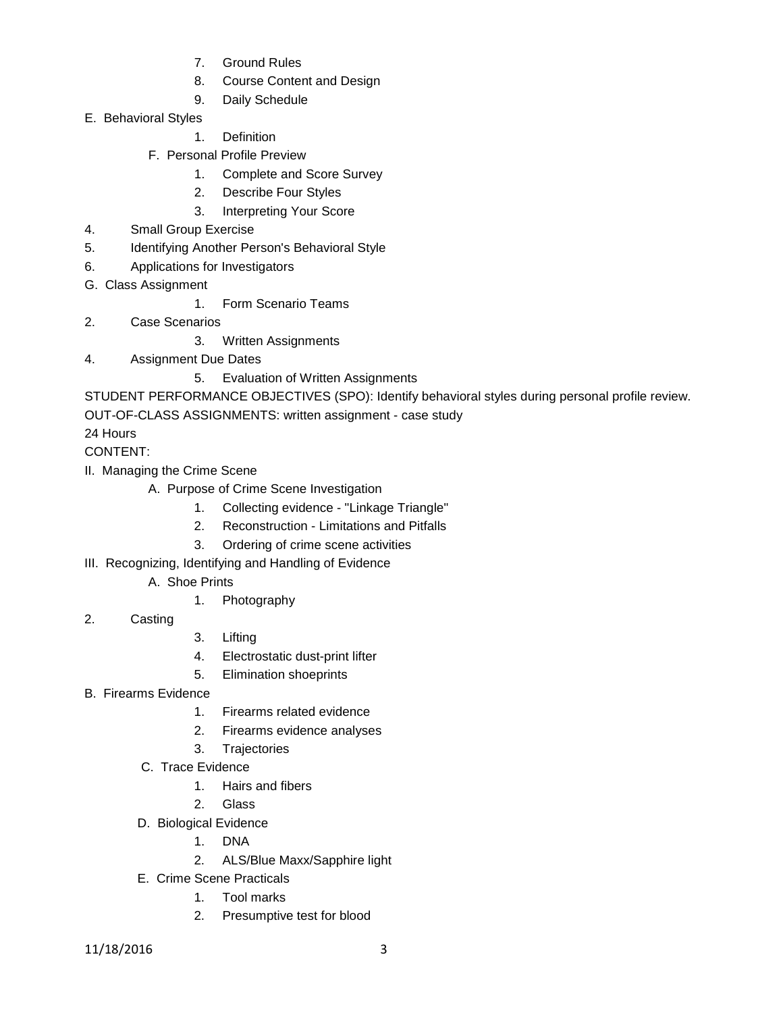- 7. Ground Rules
- 8. Course Content and Design
- 9. Daily Schedule
- E. Behavioral Styles
	- 1. Definition
	- F. Personal Profile Preview
		- 1. Complete and Score Survey
		- 2. Describe Four Styles
		- 3. Interpreting Your Score
- 4. Small Group Exercise
- 5. Identifying Another Person's Behavioral Style
- 6. Applications for Investigators
- G. Class Assignment
	- 1. Form Scenario Teams
- 2. Case Scenarios
	- 3. Written Assignments
- 4. Assignment Due Dates
	- 5. Evaluation of Written Assignments

STUDENT PERFORMANCE OBJECTIVES (SPO): Identify behavioral styles during personal profile review. OUT-OF-CLASS ASSIGNMENTS: written assignment - case study

24 Hours

CONTENT:

- II. Managing the Crime Scene
	- A. Purpose of Crime Scene Investigation
		- 1. Collecting evidence "Linkage Triangle"
		- 2. Reconstruction Limitations and Pitfalls
		- 3. Ordering of crime scene activities
- III. Recognizing, Identifying and Handling of Evidence
	- A. Shoe Prints
		- 1. Photography
- 2. Casting
- 3. Lifting
- 4. Electrostatic dust-print lifter
- 5. Elimination shoeprints
- B. Firearms Evidence
	- 1. Firearms related evidence
	- 2. Firearms evidence analyses
	- 3. Trajectories
	- C. Trace Evidence
		- 1. Hairs and fibers
		- 2. Glass
	- D. Biological Evidence
		- 1. DNA
		- 2. ALS/Blue Maxx/Sapphire light
	- E. Crime Scene Practicals
		- 1. Tool marks
		- 2. Presumptive test for blood

11/18/2016 3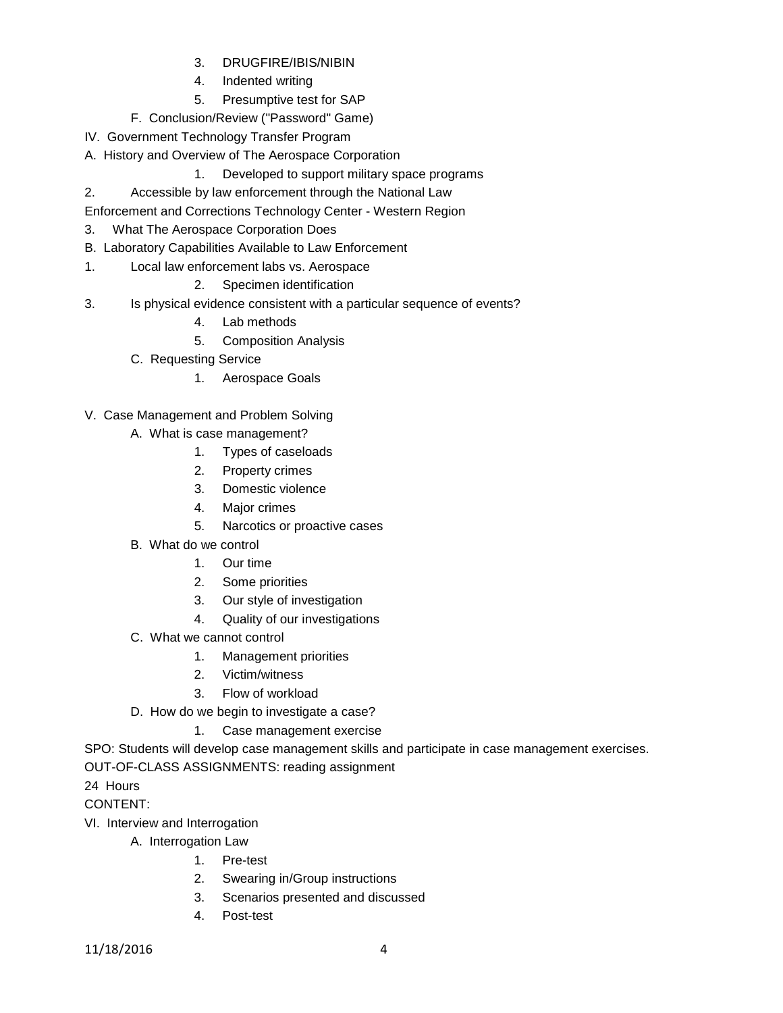- 3. DRUGFIRE/IBIS/NIBIN
- 4. Indented writing
- 5. Presumptive test for SAP
- F. Conclusion/Review ("Password" Game)
- IV. Government Technology Transfer Program
- A. History and Overview of The Aerospace Corporation
	- 1. Developed to support military space programs
- 2. Accessible by law enforcement through the National Law
- Enforcement and Corrections Technology Center Western Region
- 3. What The Aerospace Corporation Does
- B. Laboratory Capabilities Available to Law Enforcement
- 1. Local law enforcement labs vs. Aerospace
	- 2. Specimen identification
- 3. Is physical evidence consistent with a particular sequence of events?
	- 4. Lab methods
	- 5. Composition Analysis
	- C. Requesting Service
		- 1. Aerospace Goals
- V. Case Management and Problem Solving
	- A. What is case management?
		- 1. Types of caseloads
		- 2. Property crimes
		- 3. Domestic violence
		- 4. Major crimes
		- 5. Narcotics or proactive cases
	- B. What do we control
		- 1. Our time
		- 2. Some priorities
		- 3. Our style of investigation
		- 4. Quality of our investigations
	- C. What we cannot control
		- 1. Management priorities
		- 2. Victim/witness
		- 3. Flow of workload
	- D. How do we begin to investigate a case?
		- 1. Case management exercise

SPO: Students will develop case management skills and participate in case management exercises.

#### OUT-OF-CLASS ASSIGNMENTS: reading assignment

24 Hours

CONTENT:

- VI. Interview and Interrogation
	- A. Interrogation Law
		- 1. Pre-test
			- 2. Swearing in/Group instructions
			- 3. Scenarios presented and discussed
			- 4. Post-test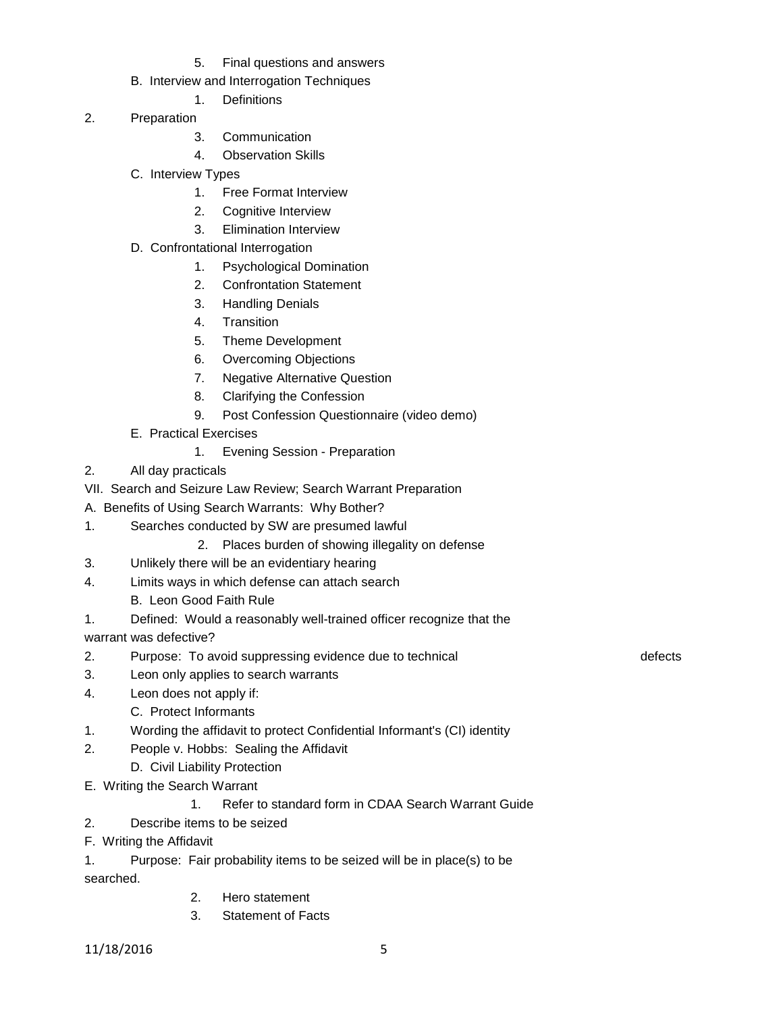5. Final questions and answers

# B. Interview and Interrogation Techniques

- 1. Definitions
- 2. Preparation
	- 3. Communication
	- 4. Observation Skills
	- C. Interview Types
		- 1. Free Format Interview
		- 2. Cognitive Interview
		- 3. Elimination Interview
	- D. Confrontational Interrogation
		- 1. Psychological Domination
		- 2. Confrontation Statement
		- 3. Handling Denials
		- 4. Transition
		- 5. Theme Development
		- 6. Overcoming Objections
		- 7. Negative Alternative Question
		- 8. Clarifying the Confession
		- 9. Post Confession Questionnaire (video demo)
	- E. Practical Exercises
		- 1. Evening Session Preparation
- 2. All day practicals
- VII. Search and Seizure Law Review; Search Warrant Preparation
- A. Benefits of Using Search Warrants: Why Bother?
- 1. Searches conducted by SW are presumed lawful
	- 2. Places burden of showing illegality on defense
- 3. Unlikely there will be an evidentiary hearing
- 4. Limits ways in which defense can attach search
	- B. Leon Good Faith Rule
- 1. Defined: Would a reasonably well-trained officer recognize that the warrant was defective?
- 2. Purpose: To avoid suppressing evidence due to technical defects of the defects
- 3. Leon only applies to search warrants
- 4. Leon does not apply if:
	- C. Protect Informants
- 1. Wording the affidavit to protect Confidential Informant's (CI) identity
- 2. People v. Hobbs: Sealing the Affidavit
	- D. Civil Liability Protection
- E. Writing the Search Warrant

# 1. Refer to standard form in CDAA Search Warrant Guide

- 2. Describe items to be seized
- F. Writing the Affidavit
- 1. Purpose: Fair probability items to be seized will be in place(s) to be searched.
	- 2. Hero statement
	- 3. Statement of Facts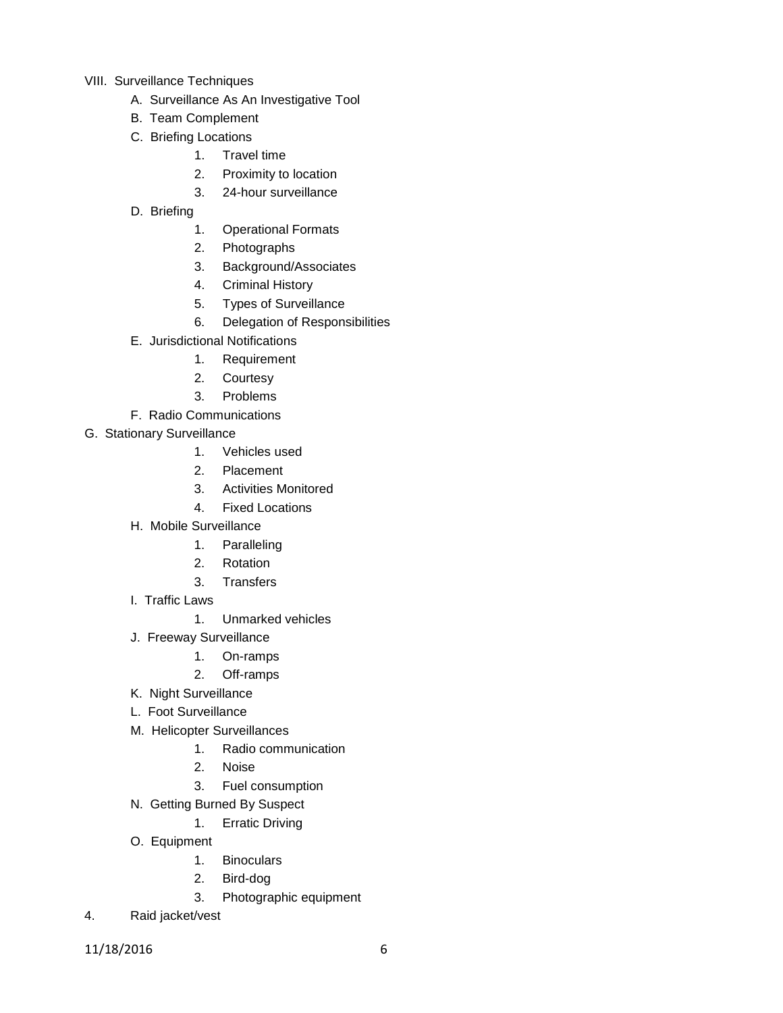- VIII. Surveillance Techniques
	- A. Surveillance As An Investigative Tool
	- B. Team Complement
	- C. Briefing Locations
		- 1. Travel time
		- 2. Proximity to location
		- 3. 24-hour surveillance
	- D. Briefing
		- 1. Operational Formats
		- 2. Photographs
		- 3. Background/Associates
		- 4. Criminal History
		- 5. Types of Surveillance
		- 6. Delegation of Responsibilities
	- E. Jurisdictional Notifications
		- 1. Requirement
		- 2. Courtesy
		- 3. Problems
	- F. Radio Communications
- G. Stationary Surveillance
	- 1. Vehicles used
	- 2. Placement
	- 3. Activities Monitored
	- 4. Fixed Locations
	- H. Mobile Surveillance
		- 1. Paralleling
		- 2. Rotation
		- 3. Transfers
	- I. Traffic Laws
		- 1. Unmarked vehicles
	- J. Freeway Surveillance
		- 1. On-ramps
		- 2. Off-ramps
	- K. Night Surveillance
	- L. Foot Surveillance
	- M. Helicopter Surveillances
		- 1. Radio communication
		- 2. Noise
		- 3. Fuel consumption
	- N. Getting Burned By Suspect
		- 1. Erratic Driving
	- O. Equipment
		- 1. Binoculars
		- 2. Bird-dog
		- 3. Photographic equipment
- 4. Raid jacket/vest
- 11/18/2016 6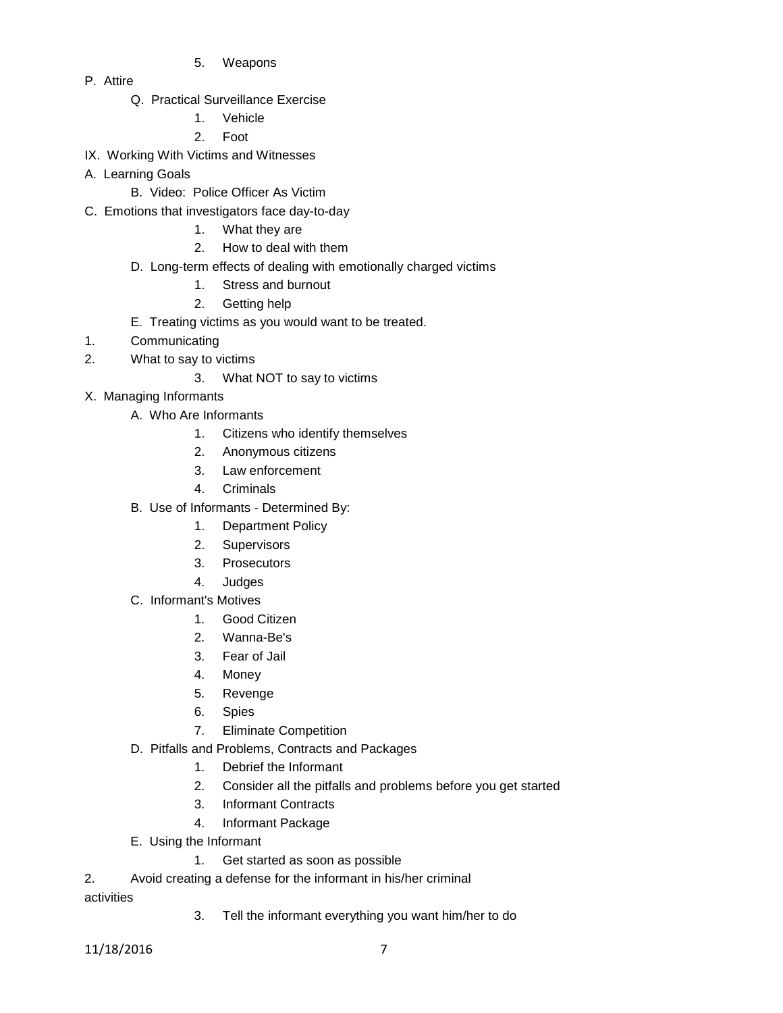- 5. Weapons
- P. Attire
	- Q. Practical Surveillance Exercise
		- 1. Vehicle
		- 2. Foot
- IX. Working With Victims and Witnesses
- A. Learning Goals
	- B. Video: Police Officer As Victim
- C. Emotions that investigators face day-to-day
	- 1. What they are
	- 2. How to deal with them
	- D. Long-term effects of dealing with emotionally charged victims
		- 1. Stress and burnout
		- 2. Getting help
	- E. Treating victims as you would want to be treated.
- 1. Communicating
- 2. What to say to victims
	- 3. What NOT to say to victims
- X. Managing Informants
	- A. Who Are Informants
		- 1. Citizens who identify themselves
		- 2. Anonymous citizens
		- 3. Law enforcement
		- 4. Criminals
	- B. Use of Informants Determined By:
		- 1. Department Policy
		- 2. Supervisors
		- 3. Prosecutors
		- 4. Judges
	- C. Informant's Motives
		- 1. Good Citizen
		- 2. Wanna-Be's
		- 3. Fear of Jail
		- 4. Money
		- 5. Revenge
		- 6. Spies
		- 7. Eliminate Competition
	- D. Pitfalls and Problems, Contracts and Packages
		- 1. Debrief the Informant
		- 2. Consider all the pitfalls and problems before you get started
		- 3. Informant Contracts
		- 4. Informant Package
	- E. Using the Informant
		- 1. Get started as soon as possible
- 2. Avoid creating a defense for the informant in his/her criminal

activities

3. Tell the informant everything you want him/her to do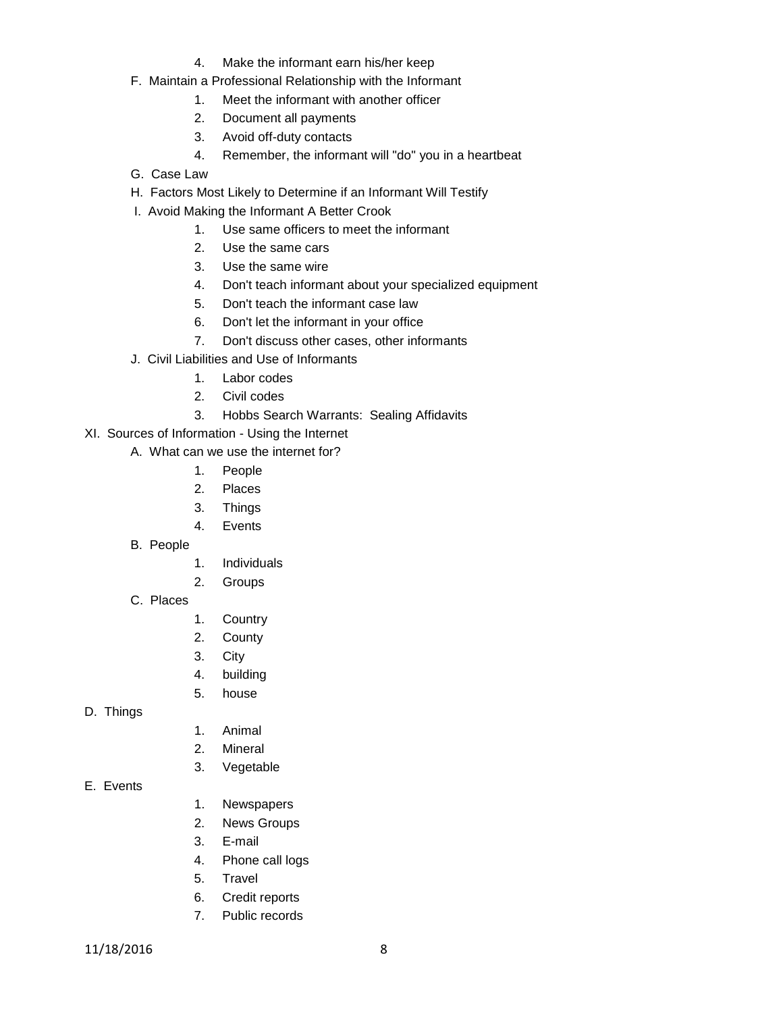- 4. Make the informant earn his/her keep
- F. Maintain a Professional Relationship with the Informant
	- 1. Meet the informant with another officer
	- 2. Document all payments
	- 3. Avoid off-duty contacts
	- 4. Remember, the informant will "do" you in a heartbeat
- G. Case Law
- H. Factors Most Likely to Determine if an Informant Will Testify
- I. Avoid Making the Informant A Better Crook
	- 1. Use same officers to meet the informant
	- 2. Use the same cars
	- 3. Use the same wire
	- 4. Don't teach informant about your specialized equipment
	- 5. Don't teach the informant case law
	- 6. Don't let the informant in your office
	- 7. Don't discuss other cases, other informants
- J. Civil Liabilities and Use of Informants
	- 1. Labor codes
	- 2. Civil codes
	- 3. Hobbs Search Warrants: Sealing Affidavits
- XI. Sources of Information Using the Internet
	- A. What can we use the internet for?
		- 1. People
		- 2. Places
		- 3. Things
		- 4. Events
		- B. People
- 1. Individuals
- 2. Groups
- C. Places
- 1. Country
- 2. County
- 3. City
- 4. building
- 5. house
- D. Things
- 1. Animal
- 2. Mineral
- 3. Vegetable
- E. Events
- 1. Newspapers
- 2. News Groups
- 3. E-mail
- 4. Phone call logs
- 5. Travel
- 6. Credit reports
- 7. Public records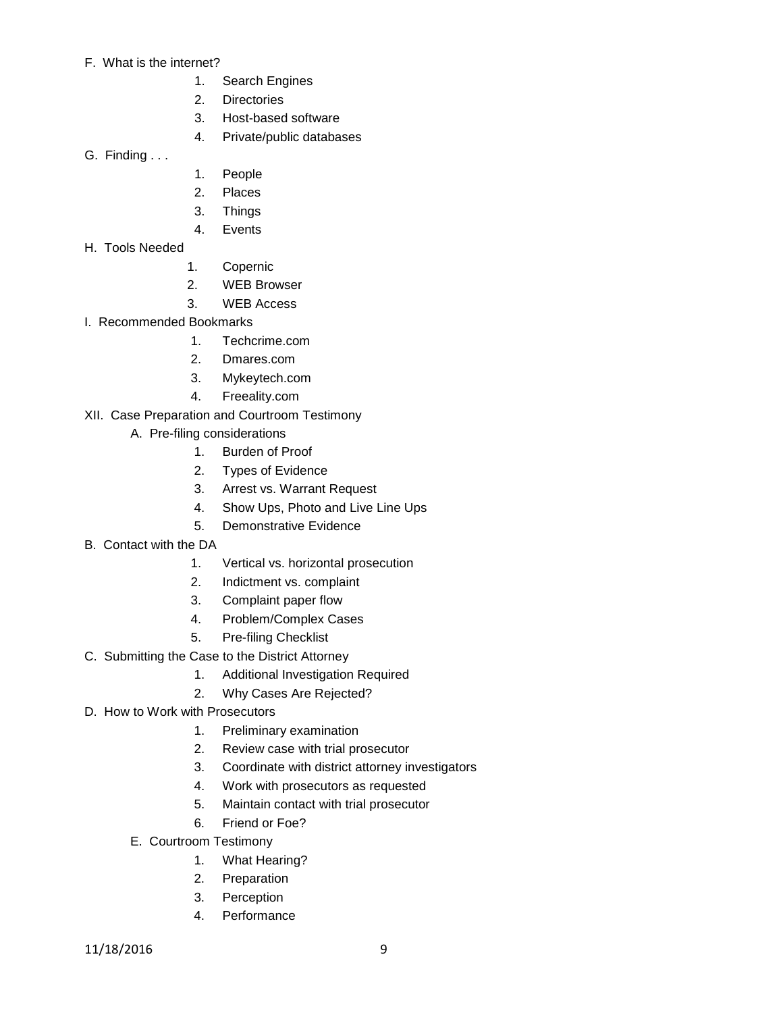- F. What is the internet?
	- 1. Search Engines
	- 2. Directories
	- 3. Host-based software
	- 4. Private/public databases
- G. Finding . . .
- 1. People
- 2. Places
- 3. Things
- 4. Events
- H. Tools Needed
- 1. Copernic
- 2. WEB Browser
- 3. WEB Access
- I. Recommended Bookmarks
	- 1. Techcrime.com
	- 2. Dmares.com
	- 3. Mykeytech.com
	- 4. Freeality.com
- XII. Case Preparation and Courtroom Testimony
	- A. Pre-filing considerations
		- 1. Burden of Proof
		- 2. Types of Evidence
		- 3. Arrest vs. Warrant Request
		- 4. Show Ups, Photo and Live Line Ups
		- 5. Demonstrative Evidence
- B. Contact with the DA
	- 1. Vertical vs. horizontal prosecution
	- 2. Indictment vs. complaint
	- 3. Complaint paper flow
	- 4. Problem/Complex Cases
	- 5. Pre-filing Checklist
- C. Submitting the Case to the District Attorney
	- 1. Additional Investigation Required
	- 2. Why Cases Are Rejected?
- D. How to Work with Prosecutors
	- 1. Preliminary examination
	- 2. Review case with trial prosecutor
	- 3. Coordinate with district attorney investigators
	- 4. Work with prosecutors as requested
	- 5. Maintain contact with trial prosecutor
	- 6. Friend or Foe?
	- E. Courtroom Testimony
		- 1. What Hearing?
		- 2. Preparation
		- 3. Perception
		- 4. Performance

11/18/2016 9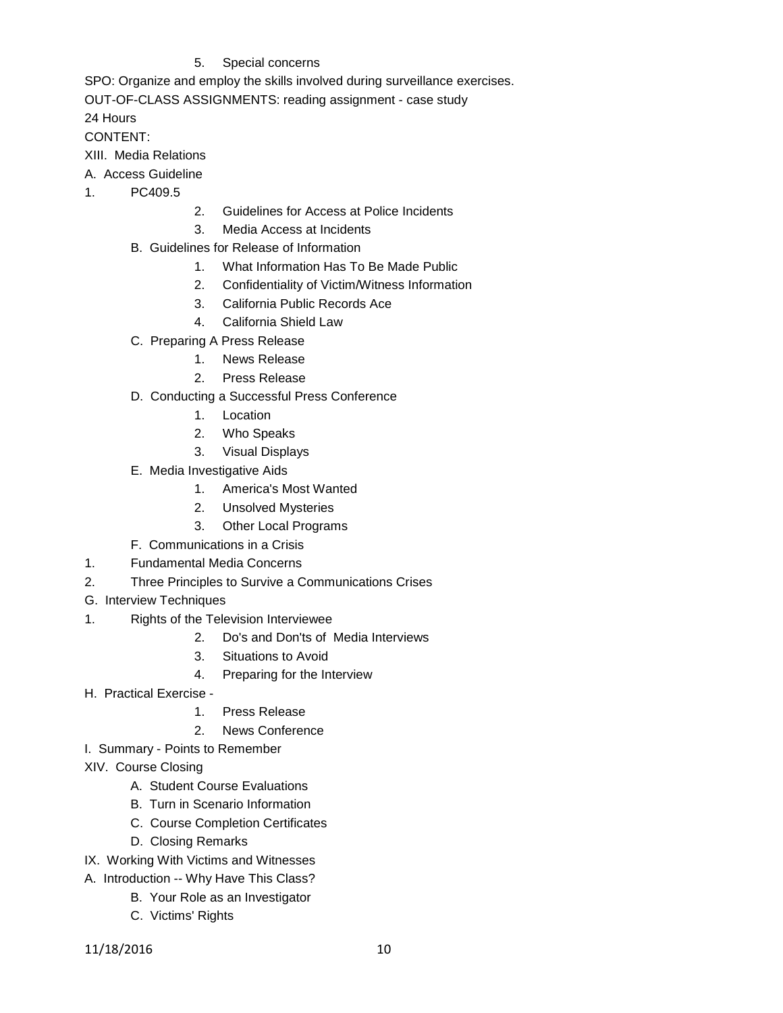# 5. Special concerns

SPO: Organize and employ the skills involved during surveillance exercises.

OUT-OF-CLASS ASSIGNMENTS: reading assignment - case study

24 Hours

# CONTENT:

- XIII. Media Relations
- A. Access Guideline
- 1. PC409.5
- 2. Guidelines for Access at Police Incidents
- 3. Media Access at Incidents
- B. Guidelines for Release of Information
	- 1. What Information Has To Be Made Public
	- 2. Confidentiality of Victim/Witness Information
	- 3. California Public Records Ace
	- 4. California Shield Law
- C. Preparing A Press Release
	- 1. News Release
	- 2. Press Release
- D. Conducting a Successful Press Conference
	- 1. Location
	- 2. Who Speaks
	- 3. Visual Displays
- E. Media Investigative Aids
	- 1. America's Most Wanted
	- 2. Unsolved Mysteries
	- 3. Other Local Programs
- F. Communications in a Crisis
- 1. Fundamental Media Concerns
- 2. Three Principles to Survive a Communications Crises
- G. Interview Techniques
- 1. Rights of the Television Interviewee
	- 2. Do's and Don'ts of Media Interviews
	- 3. Situations to Avoid
	- 4. Preparing for the Interview
- H. Practical Exercise
	- 1. Press Release
	- 2. News Conference
- I. Summary Points to Remember
- XIV. Course Closing
	- A. Student Course Evaluations
	- B. Turn in Scenario Information
	- C. Course Completion Certificates
	- D. Closing Remarks
- IX. Working With Victims and Witnesses
- A. Introduction -- Why Have This Class?
	- B. Your Role as an Investigator
	- C. Victims' Rights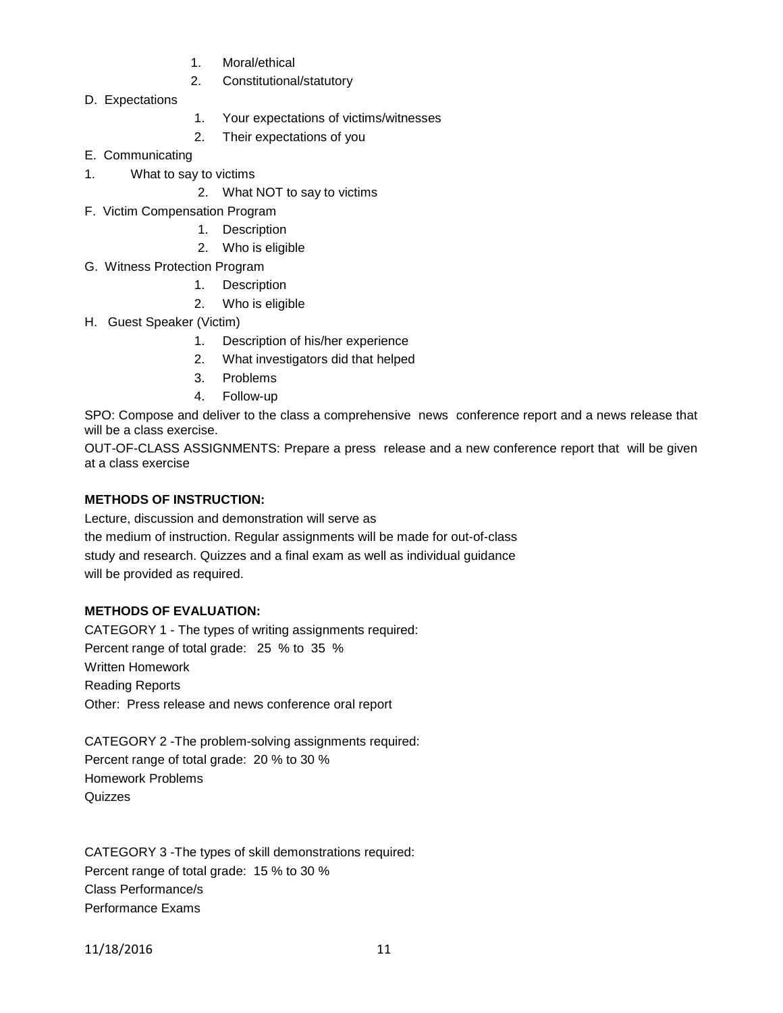- 1. Moral/ethical
- 2. Constitutional/statutory
- D. Expectations
- 1. Your expectations of victims/witnesses
- 2. Their expectations of you
- E. Communicating
- 1. What to say to victims
	- 2. What NOT to say to victims
- F. Victim Compensation Program
	- 1. Description
		- 2. Who is eligible
- G. Witness Protection Program
	- 1. Description
	- 2. Who is eligible
- H. Guest Speaker (Victim)
	- 1. Description of his/her experience
	- 2. What investigators did that helped
	- 3. Problems
	- 4. Follow-up

SPO: Compose and deliver to the class a comprehensive news conference report and a news release that will be a class exercise.

OUT-OF-CLASS ASSIGNMENTS: Prepare a press release and a new conference report that will be given at a class exercise

# **METHODS OF INSTRUCTION:**

Lecture, discussion and demonstration will serve as

the medium of instruction. Regular assignments will be made for out-of-class study and research. Quizzes and a final exam as well as individual guidance will be provided as required.

# **METHODS OF EVALUATION:**

CATEGORY 1 - The types of writing assignments required: Percent range of total grade: 25 % to 35 % Written Homework Reading Reports Other: Press release and news conference oral report

CATEGORY 2 -The problem-solving assignments required: Percent range of total grade: 20 % to 30 % Homework Problems Quizzes

CATEGORY 3 -The types of skill demonstrations required: Percent range of total grade: 15 % to 30 % Class Performance/s Performance Exams